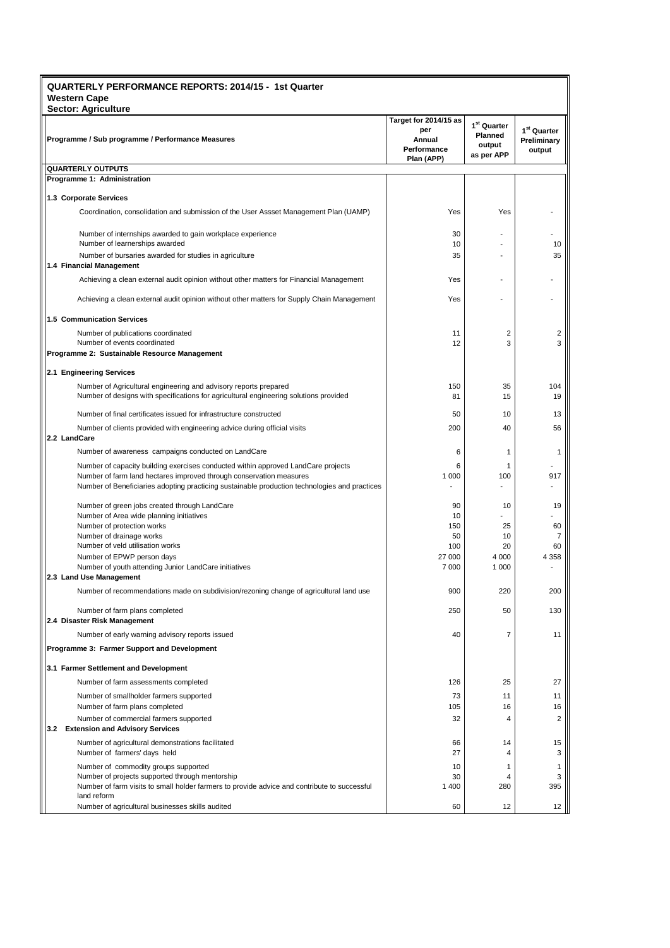| QUARTERLY PERFORMANCE REPORTS: 2014/15 - 1st Quarter<br><b>Western Cape</b><br><b>Sector: Agriculture</b>                                                                                                                                                 |                                                                     |                                                            |                                                  |
|-----------------------------------------------------------------------------------------------------------------------------------------------------------------------------------------------------------------------------------------------------------|---------------------------------------------------------------------|------------------------------------------------------------|--------------------------------------------------|
| Programme / Sub programme / Performance Measures                                                                                                                                                                                                          | Target for 2014/15 as<br>per<br>Annual<br>Performance<br>Plan (APP) | 1 <sup>st</sup> Quarter<br>Planned<br>output<br>as per APP | 1 <sup>st</sup> Quarter<br>Preliminary<br>output |
| <b>QUARTERLY OUTPUTS</b>                                                                                                                                                                                                                                  |                                                                     |                                                            |                                                  |
| Programme 1: Administration                                                                                                                                                                                                                               |                                                                     |                                                            |                                                  |
| 1.3 Corporate Services                                                                                                                                                                                                                                    |                                                                     |                                                            |                                                  |
| Coordination, consolidation and submission of the User Assset Management Plan (UAMP)                                                                                                                                                                      | Yes                                                                 | Yes                                                        |                                                  |
| Number of internships awarded to gain workplace experience<br>Number of learnerships awarded                                                                                                                                                              | 30<br>10                                                            | ä,                                                         | 10                                               |
| Number of bursaries awarded for studies in agriculture                                                                                                                                                                                                    | 35                                                                  |                                                            | 35                                               |
| 1.4 Financial Management                                                                                                                                                                                                                                  |                                                                     |                                                            |                                                  |
| Achieving a clean external audit opinion without other matters for Financial Management                                                                                                                                                                   | Yes                                                                 |                                                            |                                                  |
| Achieving a clean external audit opinion without other matters for Supply Chain Management                                                                                                                                                                | Yes                                                                 | ÷                                                          |                                                  |
| <b>1.5 Communication Services</b>                                                                                                                                                                                                                         |                                                                     |                                                            |                                                  |
| Number of publications coordinated                                                                                                                                                                                                                        | 11                                                                  | 2                                                          | 2                                                |
| Number of events coordinated                                                                                                                                                                                                                              | 12                                                                  | 3                                                          | 3                                                |
| Programme 2: Sustainable Resource Management                                                                                                                                                                                                              |                                                                     |                                                            |                                                  |
| 2.1 Engineering Services                                                                                                                                                                                                                                  |                                                                     |                                                            |                                                  |
| Number of Agricultural engineering and advisory reports prepared                                                                                                                                                                                          | 150                                                                 | 35                                                         | 104                                              |
| Number of designs with specifications for agricultural engineering solutions provided                                                                                                                                                                     | 81                                                                  | 15                                                         | 19                                               |
| Number of final certificates issued for infrastructure constructed                                                                                                                                                                                        | 50                                                                  | 10                                                         | 13                                               |
| Number of clients provided with engineering advice during official visits                                                                                                                                                                                 | 200                                                                 | 40                                                         | 56                                               |
| 2.2 LandCare                                                                                                                                                                                                                                              |                                                                     |                                                            |                                                  |
| Number of awareness campaigns conducted on LandCare                                                                                                                                                                                                       | 6                                                                   | 1                                                          | 1                                                |
| Number of capacity building exercises conducted within approved LandCare projects<br>Number of farm land hectares improved through conservation measures<br>Number of Beneficiaries adopting practicing sustainable production technologies and practices | 6<br>1 0 0 0                                                        | 1<br>100                                                   | 917                                              |
| Number of green jobs created through LandCare                                                                                                                                                                                                             | 90                                                                  | 10                                                         | 19                                               |
| Number of Area wide planning initiatives                                                                                                                                                                                                                  | 10                                                                  |                                                            |                                                  |
| Number of protection works                                                                                                                                                                                                                                | 150                                                                 | 25                                                         | 60                                               |
| Number of drainage works                                                                                                                                                                                                                                  | 50                                                                  | 10                                                         | $\overline{7}$                                   |
| Number of veld utilisation works                                                                                                                                                                                                                          | 100                                                                 | 20                                                         | 60                                               |
| Number of EPWP person days                                                                                                                                                                                                                                | 27 000                                                              | 4 0 0 0                                                    | 4 3 5 8                                          |
| Number of youth attending Junior LandCare initiatives                                                                                                                                                                                                     | 7 000                                                               | 1 0 0 0                                                    |                                                  |
| 2.3 Land Use Management<br>Number of recommendations made on subdivision/rezoning change of agricultural land use                                                                                                                                         | 900                                                                 | 220                                                        | 200                                              |
| Number of farm plans completed<br>2.4 Disaster Risk Management                                                                                                                                                                                            | 250                                                                 | 50                                                         | 130                                              |
|                                                                                                                                                                                                                                                           |                                                                     |                                                            |                                                  |
| Number of early warning advisory reports issued                                                                                                                                                                                                           | 40                                                                  | 7                                                          | 11                                               |
| Programme 3: Farmer Support and Development                                                                                                                                                                                                               |                                                                     |                                                            |                                                  |
| 3.1 Farmer Settlement and Development                                                                                                                                                                                                                     |                                                                     |                                                            |                                                  |
| Number of farm assessments completed                                                                                                                                                                                                                      | 126                                                                 | 25                                                         | 27                                               |
| Number of smallholder farmers supported                                                                                                                                                                                                                   | 73                                                                  | 11                                                         | 11                                               |
| Number of farm plans completed<br>Number of commercial farmers supported                                                                                                                                                                                  | 105<br>32                                                           | 16<br>4                                                    | 16<br>2                                          |
| 3.2 Extension and Advisory Services                                                                                                                                                                                                                       |                                                                     |                                                            |                                                  |
| Number of agricultural demonstrations facilitated<br>Number of farmers' days held                                                                                                                                                                         | 66<br>27                                                            | 14<br>4                                                    | 15<br>3                                          |
| Number of commodity groups supported                                                                                                                                                                                                                      | 10                                                                  | 1                                                          | 1                                                |
| Number of projects supported through mentorship                                                                                                                                                                                                           | 30                                                                  | 4                                                          | 3                                                |
| Number of farm visits to small holder farmers to provide advice and contribute to successful<br>land reform                                                                                                                                               | 1 4 0 0                                                             | 280                                                        | 395                                              |
| Number of agricultural businesses skills audited                                                                                                                                                                                                          | 60                                                                  | 12                                                         | 12                                               |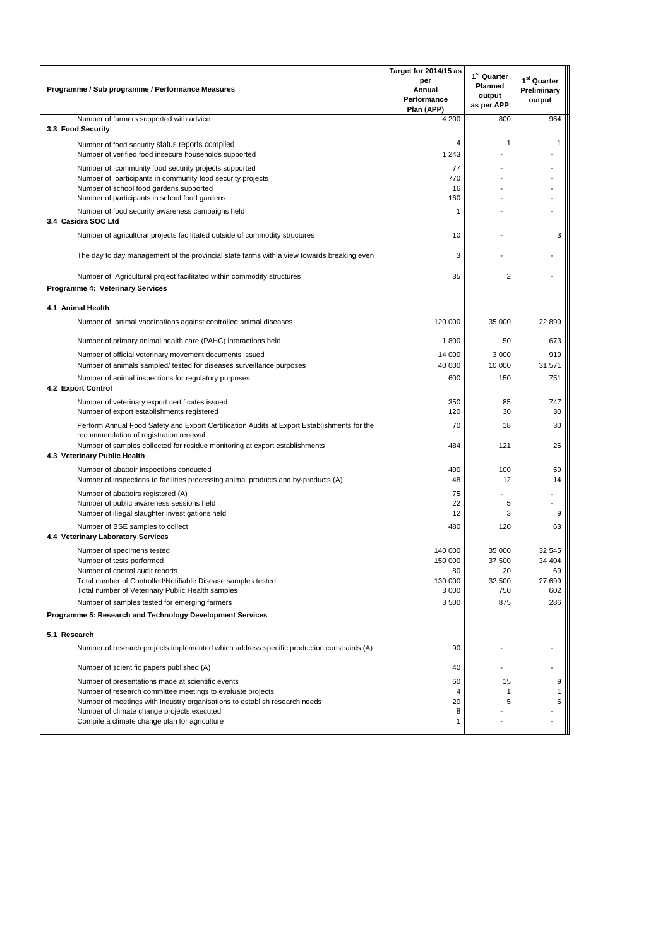|              |                                                                                                                                       | Target for 2014/15 as<br>per | $1st$ Quarter        | 1 <sup>st</sup> Quarter |
|--------------|---------------------------------------------------------------------------------------------------------------------------------------|------------------------------|----------------------|-------------------------|
|              | Programme / Sub programme / Performance Measures                                                                                      | Annual                       | <b>Planned</b>       | Preliminary             |
|              |                                                                                                                                       | Performance                  | output<br>as per APP | output                  |
|              | Number of farmers supported with advice                                                                                               | Plan (APP)<br>4 200          | 800                  | 964                     |
|              | 3.3 Food Security                                                                                                                     |                              |                      |                         |
|              | Number of food security status-reports compiled<br>Number of verified food insecure households supported                              | 4<br>1 2 4 3                 | 1                    | 1                       |
|              |                                                                                                                                       |                              |                      |                         |
|              | Number of community food security projects supported<br>Number of participants in community food security projects                    | 77<br>770                    |                      |                         |
|              | Number of school food gardens supported                                                                                               | 16                           |                      |                         |
|              | Number of participants in school food gardens                                                                                         | 160                          |                      |                         |
|              | Number of food security awareness campaigns held<br>3.4 Casidra SOC Ltd                                                               | 1                            |                      |                         |
|              | Number of agricultural projects facilitated outside of commodity structures                                                           | 10                           | ä,                   | 3                       |
|              | The day to day management of the provincial state farms with a view towards breaking even                                             | 3                            |                      |                         |
|              | Number of Agricultural project facilitated within commodity structures                                                                | 35                           | $\overline{2}$       |                         |
|              | Programme 4: Veterinary Services                                                                                                      |                              |                      |                         |
|              | 4.1 Animal Health                                                                                                                     |                              |                      |                         |
|              | Number of animal vaccinations against controlled animal diseases                                                                      | 120 000                      | 35 000               | 22 899                  |
|              | Number of primary animal health care (PAHC) interactions held                                                                         | 1800                         | 50                   | 673                     |
|              | Number of official veterinary movement documents issued                                                                               | 14 000                       | 3 0 0 0              | 919                     |
|              | Number of animals sampled/ tested for diseases surveillance purposes                                                                  | 40 000                       | 10 000               | 31 571                  |
|              | Number of animal inspections for regulatory purposes<br>4.2 Export Control                                                            | 600                          | 150                  | 751                     |
|              | Number of veterinary export certificates issued<br>Number of export establishments registered                                         | 350<br>120                   | 85<br>30             | 747<br>30               |
|              | Perform Annual Food Safety and Export Certification Audits at Export Establishments for the<br>recommendation of registration renewal | 70                           | 18                   | 30                      |
|              | Number of samples collected for residue monitoring at export establishments<br>4.3 Veterinary Public Health                           | 484                          | 121                  | 26                      |
|              | Number of abattoir inspections conducted                                                                                              | 400                          | 100                  | 59                      |
|              | Number of inspections to facilities processing animal products and by-products (A)                                                    | 48                           | 12                   | 14                      |
|              | Number of abattoirs registered (A)                                                                                                    | 75                           |                      |                         |
|              | Number of public awareness sessions held<br>Number of illegal slaughter investigations held                                           | 22<br>12                     | 5<br>3               | 9                       |
|              |                                                                                                                                       |                              |                      |                         |
|              | Number of BSE samples to collect<br>4.4 Veterinary Laboratory Services                                                                | 480                          | 120                  | 63                      |
|              | Number of specimens tested                                                                                                            | 140 000                      | 35 000               | 32 545                  |
|              | Number of tests performed                                                                                                             | 150 000                      | 37 500               | 34 404                  |
|              | Number of control audit reports<br>Total number of Controlled/Notifiable Disease samples tested                                       | 80<br>130 000                | 20<br>32 500         | 69<br>27 699            |
|              | Total number of Veterinary Public Health samples                                                                                      | 3 0 0 0                      | 750                  | 602                     |
|              | Number of samples tested for emerging farmers                                                                                         | 3500                         | 875                  | 286                     |
|              | Programme 5: Research and Technology Development Services                                                                             |                              |                      |                         |
| 5.1 Research |                                                                                                                                       |                              |                      |                         |
|              | Number of research projects implemented which address specific production constraints (A)                                             | 90                           |                      |                         |
|              | Number of scientific papers published (A)                                                                                             | 40                           |                      |                         |
|              | Number of presentations made at scientific events                                                                                     | 60                           | 15                   | 9                       |
|              | Number of research committee meetings to evaluate projects                                                                            | 4                            | 1<br>5               | 1<br>6                  |
|              | Number of meetings with Industry organisations to establish research needs<br>Number of climate change projects executed              | 20<br>8                      |                      |                         |
|              | Compile a climate change plan for agriculture                                                                                         | 1                            |                      |                         |
|              |                                                                                                                                       |                              |                      |                         |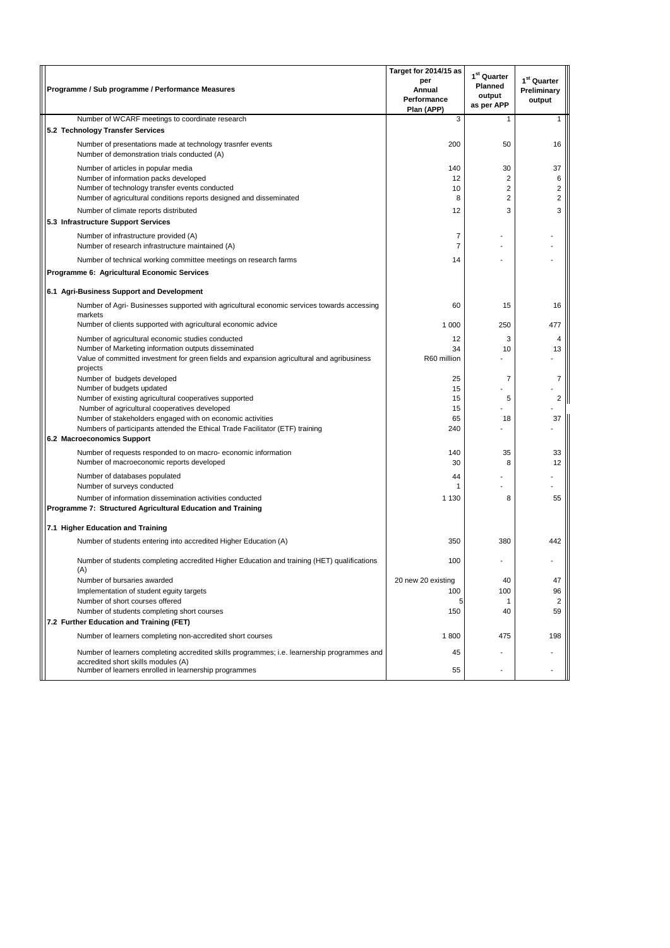| Programme / Sub programme / Performance Measures                                                                                                               | Target for 2014/15 as<br>per<br>Annual<br>Performance<br>Plan (APP) | $1st$ Quarter<br><b>Planned</b><br>output<br>as per APP | 1 <sup>st</sup> Quarter<br>Preliminary<br>output |
|----------------------------------------------------------------------------------------------------------------------------------------------------------------|---------------------------------------------------------------------|---------------------------------------------------------|--------------------------------------------------|
| Number of WCARF meetings to coordinate research                                                                                                                | 3                                                                   | $\mathbf{1}$                                            | 1                                                |
| 5.2 Technology Transfer Services                                                                                                                               |                                                                     |                                                         |                                                  |
| Number of presentations made at technology trasnfer events<br>Number of demonstration trials conducted (A)                                                     | 200                                                                 | 50                                                      | 16                                               |
| Number of articles in popular media                                                                                                                            | 140                                                                 | 30                                                      | 37                                               |
| Number of information packs developed                                                                                                                          | 12                                                                  | 2                                                       | 6                                                |
| Number of technology transfer events conducted<br>Number of agricultural conditions reports designed and disseminated                                          | 10<br>8                                                             | 2<br>2                                                  | 2<br>2                                           |
| Number of climate reports distributed                                                                                                                          | 12                                                                  | 3                                                       | 3                                                |
| 5.3 Infrastructure Support Services                                                                                                                            |                                                                     |                                                         |                                                  |
| Number of infrastructure provided (A)                                                                                                                          | 7                                                                   | ٠                                                       |                                                  |
| Number of research infrastructure maintained (A)                                                                                                               | 7                                                                   |                                                         |                                                  |
| Number of technical working committee meetings on research farms                                                                                               | 14                                                                  |                                                         |                                                  |
| Programme 6: Agricultural Economic Services                                                                                                                    |                                                                     |                                                         |                                                  |
| 6.1 Agri-Business Support and Development                                                                                                                      |                                                                     |                                                         |                                                  |
| Number of Agri- Businesses supported with agricultural economic services towards accessing<br>markets                                                          | 60                                                                  | 15                                                      | 16                                               |
| Number of clients supported with agricultural economic advice                                                                                                  | 1 0 0 0                                                             | 250                                                     | 477                                              |
| Number of agricultural economic studies conducted                                                                                                              | 12                                                                  | 3                                                       | 4                                                |
| Number of Marketing information outputs disseminated<br>Value of committed investment for green fields and expansion agricultural and agribusiness<br>projects | 34<br>R60 million                                                   | 10                                                      | 13                                               |
| Number of budgets developed                                                                                                                                    | 25                                                                  | $\overline{7}$                                          | 7                                                |
| Number of budgets updated                                                                                                                                      | 15                                                                  |                                                         |                                                  |
| Number of existing agricultural cooperatives supported                                                                                                         | 15                                                                  | 5                                                       | 2                                                |
| Number of agricultural cooperatives developed<br>Number of stakeholders engaged with on economic activities                                                    | 15<br>65                                                            | 18                                                      | 37                                               |
| Numbers of participants attended the Ethical Trade Facilitator (ETF) training                                                                                  | 240                                                                 |                                                         |                                                  |
| 6.2 Macroeconomics Support                                                                                                                                     |                                                                     |                                                         |                                                  |
| Number of requests responded to on macro-economic information                                                                                                  | 140                                                                 | 35                                                      | 33                                               |
| Number of macroeconomic reports developed                                                                                                                      | 30                                                                  | 8                                                       | 12                                               |
| Number of databases populated<br>Number of surveys conducted                                                                                                   | 44<br>1                                                             |                                                         |                                                  |
| Number of information dissemination activities conducted                                                                                                       | 1 1 3 0                                                             | 8                                                       | 55                                               |
| Programme 7: Structured Agricultural Education and Training                                                                                                    |                                                                     |                                                         |                                                  |
| 7.1 Higher Education and Training                                                                                                                              |                                                                     |                                                         |                                                  |
| Number of students entering into accredited Higher Education (A)                                                                                               | 350                                                                 | 380                                                     | 442                                              |
| Number of students completing accredited Higher Education and training (HET) qualifications<br>(A)                                                             | 100                                                                 |                                                         |                                                  |
| Number of bursaries awarded                                                                                                                                    | 20 new 20 existing                                                  | 40                                                      | 47                                               |
| Implementation of student equity targets                                                                                                                       | 100                                                                 | 100                                                     | 96                                               |
| Number of short courses offered<br>Number of students completing short courses                                                                                 | 5<br>150                                                            | $\mathbf 1$<br>40                                       | 2<br>59                                          |
| 7.2 Further Education and Training (FET)                                                                                                                       |                                                                     |                                                         |                                                  |
| Number of learners completing non-accredited short courses                                                                                                     | 1800                                                                | 475                                                     | 198                                              |
| Number of learners completing accredited skills programmes; i.e. learnership programmes and<br>accredited short skills modules (A)                             | 45                                                                  |                                                         |                                                  |
| Number of learners enrolled in learnership programmes                                                                                                          | 55                                                                  |                                                         |                                                  |